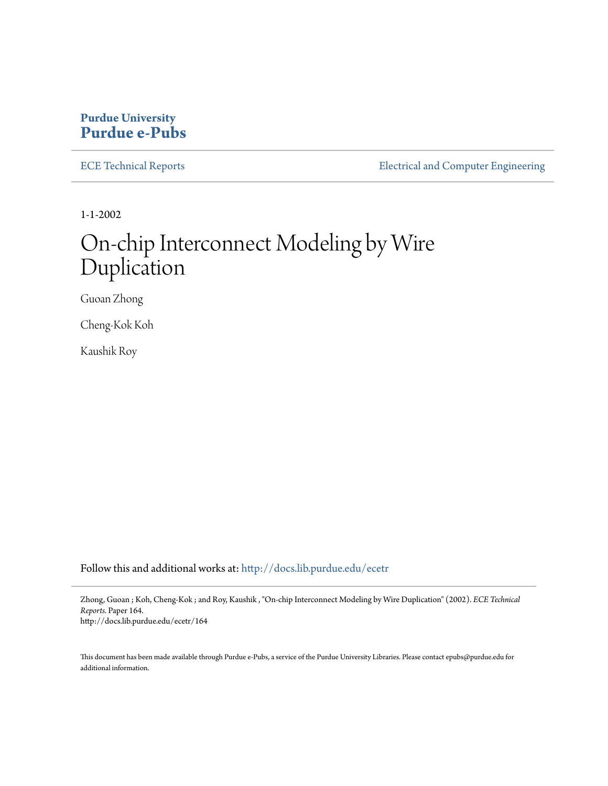### **Purdue University [Purdue e-Pubs](http://docs.lib.purdue.edu?utm_source=docs.lib.purdue.edu%2Fecetr%2F164&utm_medium=PDF&utm_campaign=PDFCoverPages)**

[ECE Technical Reports](http://docs.lib.purdue.edu/ecetr?utm_source=docs.lib.purdue.edu%2Fecetr%2F164&utm_medium=PDF&utm_campaign=PDFCoverPages) **ELECTE ELECTE ENGINEER** ELECTECAL and Computer Engineering

1-1-2002

# On-chip Interconnect Modeling by Wire Duplication

Guoan Zhong

Cheng-Kok Koh

Kaushik Roy

Follow this and additional works at: [http://docs.lib.purdue.edu/ecetr](http://docs.lib.purdue.edu/ecetr?utm_source=docs.lib.purdue.edu%2Fecetr%2F164&utm_medium=PDF&utm_campaign=PDFCoverPages)

Zhong, Guoan ; Koh, Cheng-Kok ; and Roy, Kaushik , "On-chip Interconnect Modeling by Wire Duplication" (2002). *ECE Technical Reports.* Paper 164. http://docs.lib.purdue.edu/ecetr/164

This document has been made available through Purdue e-Pubs, a service of the Purdue University Libraries. Please contact epubs@purdue.edu for additional information.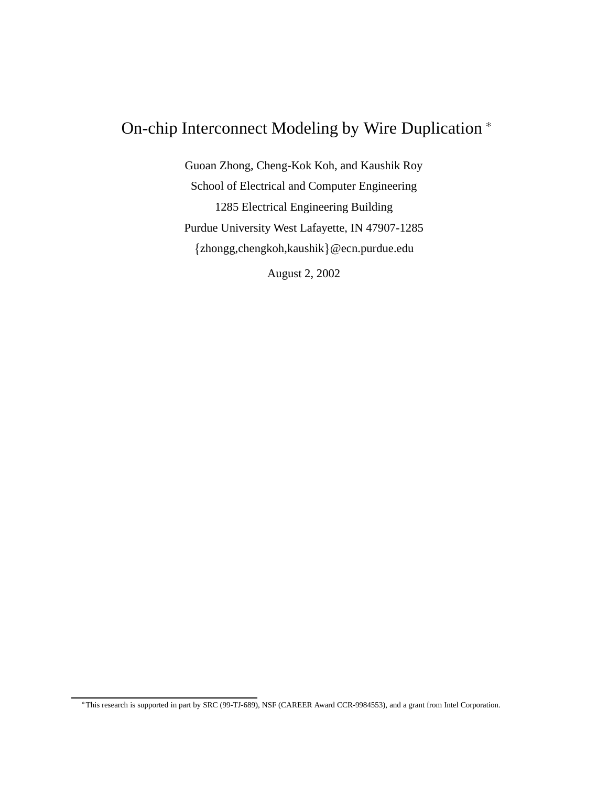## On-chip Interconnect Modeling by Wire Duplication

Guoan Zhong, Cheng-Kok Koh, and Kaushik Roy School of Electrical and Computer Engineering 1285 Electrical Engineering Building Purdue University West Lafayette, IN 47907-1285 {zhongg,chengkoh,kaushik}@ecn.purdue.edu

August 2, 2002

This research is supported in part by SRC (99-TJ-689), NSF (CAREER Award CCR-9984553), and a grant from Intel Corporation.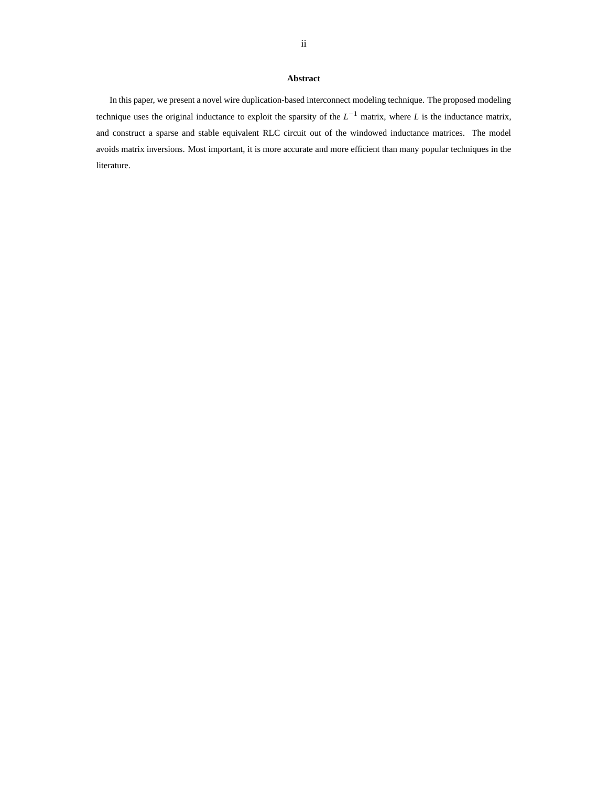#### **Abstract**

In this paper, we present a novel wire duplication-based interconnect modeling technique. The proposed modeling technique uses the original inductance to exploit the sparsity of the  $L^{-1}$  matrix, where *L* is the inductance matrix, and construct a sparse and stable equivalent RLC circuit out of the windowed inductance matrices. The model avoids matrix inversions. Most important, it is more accurate and more efficient than many popular techniques in the literature.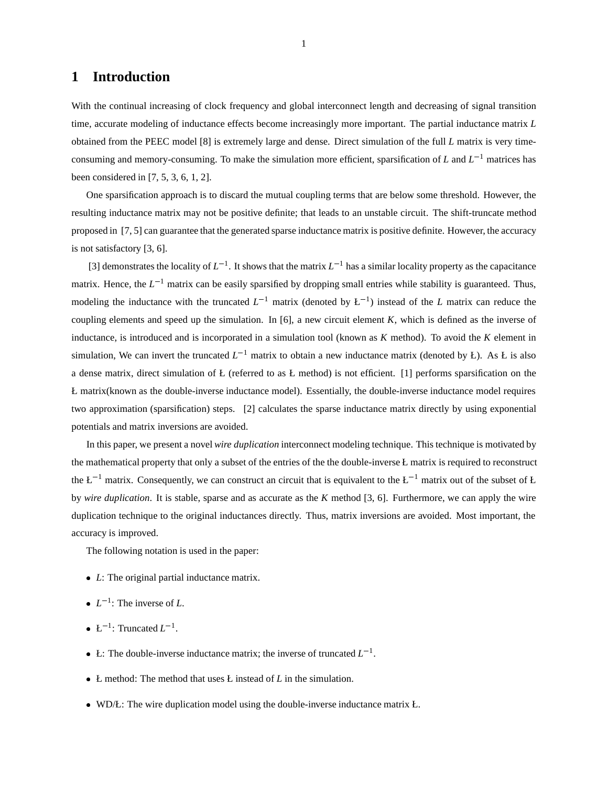#### **1 Introduction**

With the continual increasing of clock frequency and global interconnect length and decreasing of signal transition time, accurate modeling of inductance effects become increasingly more important. The partial inductance matrix *L* obtained from the PEEC model [8] is extremely large and dense. Direct simulation of the full *L* matrix is very timeconsuming and memory-consuming. To make the simulation more efficient, sparsification of  $L$  and  $L^{-1}$  matrices has been considered in [7, 5, 3, 6, 1, 2].

One sparsification approach is to discard the mutual coupling terms that are below some threshold. However, the resulting inductance matrix may not be positive definite; that leads to an unstable circuit. The shift-truncate method proposed in [7, 5] can guarantee that the generated sparse inductance matrix is positive definite. However, the accuracy is not satisfactory [3, 6].

[3] demonstrates the locality of  $L^{-1}$ . It shows that the matrix  $L^{-1}$  has a similar locality property as the capacitance matrix. Hence, the  $L^{-1}$  matrix can be easily sparsified by dropping small entries while stability is guaranteed. Thus, modeling the inductance with the truncated  $L^{-1}$  matrix (denoted by  $L^{-1}$ ) instead of the *L* matrix can reduce the coupling elements and speed up the simulation. In [6], a new circuit element *K*, which is defined as the inverse of inductance, is introduced and is incorporated in a simulation tool (known as *K* method). To avoid the *K* element in simulation, We can invert the truncated  $L^{-1}$  matrix to obtain a new inductance matrix (denoted by Ł). As Ł is also a dense matrix, direct simulation of  $E$  (referred to as  $E$  method) is not efficient. [1] performs sparsification on the Ł matrix(known as the double-inverse inductance model). Essentially, the double-inverse inductance model requires two approximation (sparsification) steps. [2] calculates the sparse inductance matrix directly by using exponential potentials and matrix inversions are avoided.

In this paper, we present a novel *wire duplication* interconnect modeling technique. This technique is motivated by the mathematical property that only a subset of the entries of the the double-inverse Ł matrix is required to reconstruct the  $L^{-1}$  matrix. Consequently, we can construct an circuit that is equivalent to the  $L^{-1}$  matrix out of the subset of  $L$ by *wire duplication*. It is stable, sparse and as accurate as the *K* method [3, 6]. Furthermore, we can apply the wire duplication technique to the original inductances directly. Thus, matrix inversions are avoided. Most important, the accuracy is improved.

The following notation is used in the paper:

- *L*: The original partial inductance matrix.
- $L^{-1}$ : The inverse of *L*.
- $L^{-1}$ : Truncated  $L^{-1}$ .
- L: The double-inverse inductance matrix; the inverse of truncated  $L^{-1}$ .
- Ł method: The method that uses Ł instead of *L* in the simulation.
- WD/Ł: The wire duplication model using the double-inverse inductance matrix Ł.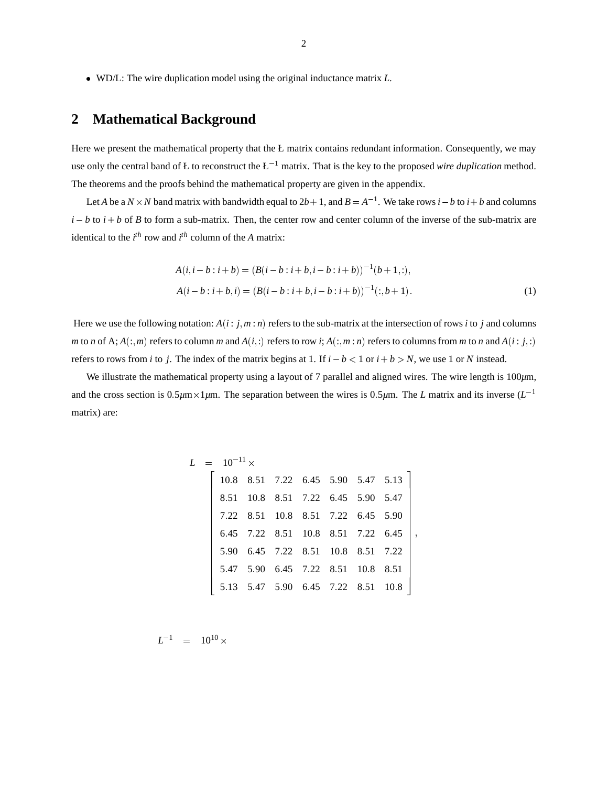WD/L: The wire duplication model using the original inductance matrix *L*.

#### **2 Mathematical Background**

Here we present the mathematical property that the Ł matrix contains redundant information. Consequently, we may use only the central band of L to reconstruct the  $L^{-1}$  matrix. That is the key to the proposed *wire duplication* method. The theorems and the proofs behind the mathematical property are given in the appendix.

Let *A* be a  $N \times N$  band matrix with bandwidth equal to  $2b+1$ , and  $B = A^{-1}$ . We take rows  $i - b$  to  $i + b$  and columns  $i - b$  to  $i + b$  of *B* to form a sub-matrix. Then, the center row and center column of the inverse of the sub-matrix are identical to the  $i^{th}$  row and  $i^{th}$  column of the *A* matrix:

$$
A(i, i - b : i + b) = (B(i - b : i + b, i - b : i + b))^{-1} (b + 1, :),
$$
  
\n
$$
A(i - b : i + b, i) = (B(i - b : i + b, i - b : i + b))^{-1}(:,b + 1).
$$
\n(1)

Here we use the following notation:  $A(i: j, m:n)$  refers to the sub-matrix at the intersection of rows *i* to *j* and columns m to n of A;  $A(:,m)$  refers to column m and  $A(i,:)$  refers to row i;  $A(:,m:n)$  refers to columns from m to n and  $A(i:j,:)$ refers to rows from *i* to *j*. The index of the matrix begins at 1. If  $i - b < 1$  or  $i + b > N$ , we use 1 or *N* instead.

We illustrate the mathematical property using a layout of 7 parallel and aligned wires. The wire length is 100 $\mu$ m, and the cross section is  $0.5 \mu m \times 1 \mu m$ . The separation between the wires is  $0.5 \mu m$ . The *L* matrix and its inverse  $(L^{-1})$ matrix) are:

$$
L = 10^{-11} \times
$$
\n
$$
\begin{bmatrix}\n10.8 & 8.51 & 7.22 & 6.45 & 5.90 & 5.47 & 5.13 \\
8.51 & 10.8 & 8.51 & 7.22 & 6.45 & 5.90 & 5.47 \\
7.22 & 8.51 & 10.8 & 8.51 & 7.22 & 6.45 & 5.90 \\
6.45 & 7.22 & 8.51 & 10.8 & 8.51 & 7.22 & 6.45 \\
5.90 & 6.45 & 7.22 & 8.51 & 10.8 & 8.51 & 7.22 \\
5.47 & 5.90 & 6.45 & 7.22 & 8.51 & 10.8 & 8.51 \\
5.13 & 5.47 & 5.90 & 6.45 & 7.22 & 8.51 & 10.8\n\end{bmatrix},
$$

$$
L^{-1} = 10^{10} \times
$$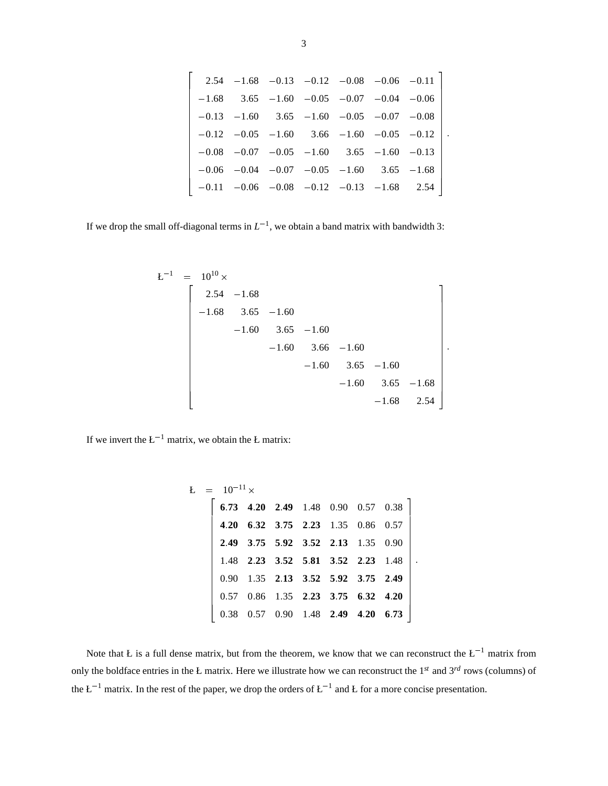|  |  |                                                        |  | $2.54$ $-1.68$ $-0.13$ $-0.12$ $-0.08$ $-0.06$ $-0.11$ |
|--|--|--------------------------------------------------------|--|--------------------------------------------------------|
|  |  | $-1.68$ 3.65 $-1.60$ $-0.05$ $-0.07$ $-0.04$ $-0.06$   |  |                                                        |
|  |  | $-0.13$ $-1.60$ $3.65$ $-1.60$ $-0.05$ $-0.07$ $-0.08$ |  |                                                        |
|  |  |                                                        |  | $-0.12$ $-0.05$ $-1.60$ $3.66$ $-1.60$ $-0.05$ $-0.12$ |
|  |  | $-0.08$ $-0.07$ $-0.05$ $-1.60$ $3.65$ $-1.60$ $-0.13$ |  |                                                        |
|  |  | $-0.06$ $-0.04$ $-0.07$ $-0.05$ $-1.60$ $3.65$ $-1.68$ |  |                                                        |
|  |  | $-0.11$ $-0.06$ $-0.08$ $-0.12$ $-0.13$ $-1.68$ 2.54   |  |                                                        |

<u>and the second contract of the second contract of the second contract of the second contract of the second con</u>

If we drop the small off-diagonal terms in  $L^{-1}$ , we obtain a band matrix with bandwidth 3:

 $\overline{\phantom{a}}$  22  $\overline{\phantom{a}}$  22  $\overline{\phantom{a}}$  22  $\overline{\phantom{a}}$  22  $\overline{\phantom{a}}$  22  $\overline{\phantom{a}}$  22  $\overline{\phantom{a}}$  22  $\overline{\phantom{a}}$  22  $\overline{\phantom{a}}$  22  $\overline{\phantom{a}}$  22  $\overline{\phantom{a}}$  22  $\overline{\phantom{a}}$  22  $\overline{\phantom{a}}$  22  $\overline{\phantom{a}}$  22  $\overline{\phantom{a}}$ 

$$
E^{-1} = 10^{10} \times
$$
\n
$$
\begin{bmatrix}\n2.54 & -1.68 \\
-1.68 & 3.65 & -1.60 \\
-1.60 & 3.65 & -1.60 \\
-1.60 & 3.66 & -1.60 \\
-1.60 & 3.65 & -1.60 \\
-1.60 & 3.65 & -1.68 \\
-1.68 & 2.54\n\end{bmatrix}
$$

If we invert the  $L^{-1}$  matrix, we obtain the Ł matrix:

$$
E = 10^{-11} \times
$$
\n
$$
\begin{bmatrix}\n6.73 & 4.20 & 2.49 & 1.48 & 0.90 & 0.57 & 0.38 \\
4.20 & 6.32 & 3.75 & 2.23 & 1.35 & 0.86 & 0.57 \\
2.49 & 3.75 & 5.92 & 3.52 & 2.13 & 1.35 & 0.90 \\
1.48 & 2.23 & 3.52 & 5.81 & 3.52 & 2.23 & 1.48 \\
0.90 & 1.35 & 2.13 & 3.52 & 5.92 & 3.75 & 2.49 \\
0.57 & 0.86 & 1.35 & 2.23 & 3.75 & 6.32 & 4.20 \\
0.38 & 0.57 & 0.90 & 1.48 & 2.49 & 4.20 & 6.73\n\end{bmatrix}
$$

:

Note that Ł is a full dense matrix, but from the theorem, we know that we can reconstruct the  $L^{-1}$  matrix from only the boldface entries in the Ł matrix. Here we illustrate how we can reconstruct the 1*st* and 3*rd* rows (columns) of the  $L^{-1}$  matrix. In the rest of the paper, we drop the orders of  $L^{-1}$  and L for a more concise presentation.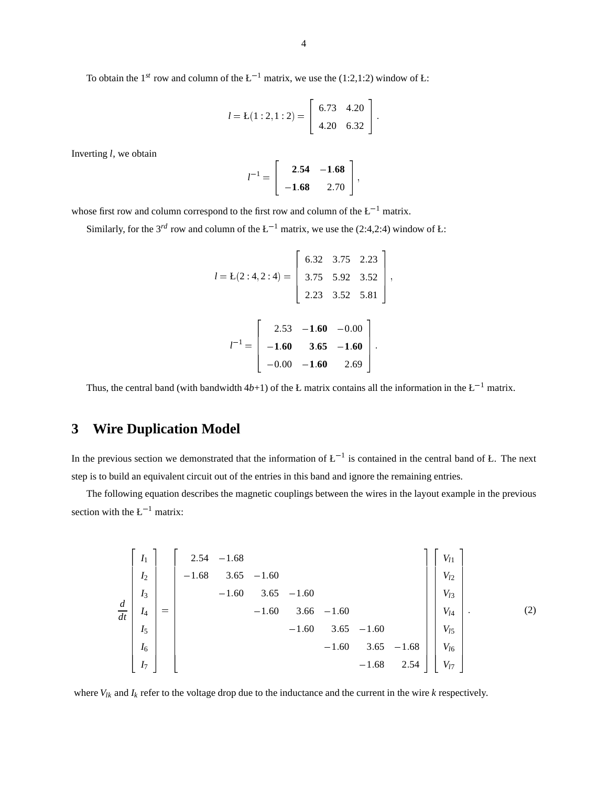To obtain the 1<sup>st</sup> row and column of the  $L^{-1}$  matrix, we use the (1:2,1:2) window of L:

$$
l = \mathcal{L}(1:2,1:2) = \left[\begin{array}{cc} 6.73 & 4.20 \\ 4.20 & 6.32 \end{array}\right].
$$

Inverting *l*, we obtain

$$
l^{-1} = \left[ \begin{array}{rr} 2.54 & -1.68 \\ -1.68 & 2.70 \end{array} \right],
$$

whose first row and column correspond to the first row and column of the  $L^{-1}$  matrix.

Similarly, for the 3<sup>rd</sup> row and column of the  $L^{-1}$  matrix, we use the (2:4,2:4) window of *L*:

$$
l = L(2:4,2:4) = \begin{bmatrix} 6.32 & 3.75 & 2.23 \\ 3.75 & 5.92 & 3.52 \\ 2.23 & 3.52 & 5.81 \end{bmatrix},
$$

$$
l^{-1} = \begin{bmatrix} 2.53 & -1.60 & -0.00 \\ -1.60 & 3.65 & -1.60 \\ -0.00 & -1.60 & 2.69 \end{bmatrix}.
$$

;

Thus, the central band (with bandwidth  $4b+1$ ) of the Ł matrix contains all the information in the Ł<sup>-1</sup> matrix.

#### **3 Wire Duplication Model**

In the previous section we demonstrated that the information of  $L^{-1}$  is contained in the central band of Ł. The next step is to build an equivalent circuit out of the entries in this band and ignore the remaining entries.

The following equation describes the magnetic couplings between the wires in the layout example in the previous section with the  $L^{-1}$  matrix:

$$
\begin{bmatrix}\nI_1 \\
I_2 \\
I_3 \\
I_4 \\
I_5 \\
I_6 \\
I_7\n\end{bmatrix} = \begin{bmatrix}\n2.54 & -1.68 \\
-1.68 & 3.65 \\
-1.60 & 3.65 \\
-1.60 & 3.66 \\
-1.60 & 3.65 \\
-1.60 & 3.65 \\
-1.60 & 3.65 \\
-1.60 & 3.65 \\
-1.60 & 3.65 \\
-1.60 & 3.65 \\
-1.68 & 2.54\n\end{bmatrix}\n\begin{bmatrix}\nV_{l1} \\
V_{l2} \\
V_{l3} \\
V_{l4} \\
V_{l5} \\
V_{l6} \\
V_{l7}\n\end{bmatrix}.
$$
\n(2)

where *Vlk* and *Ik* refer to the voltage drop due to the inductance and the current in the wire *k* respectively.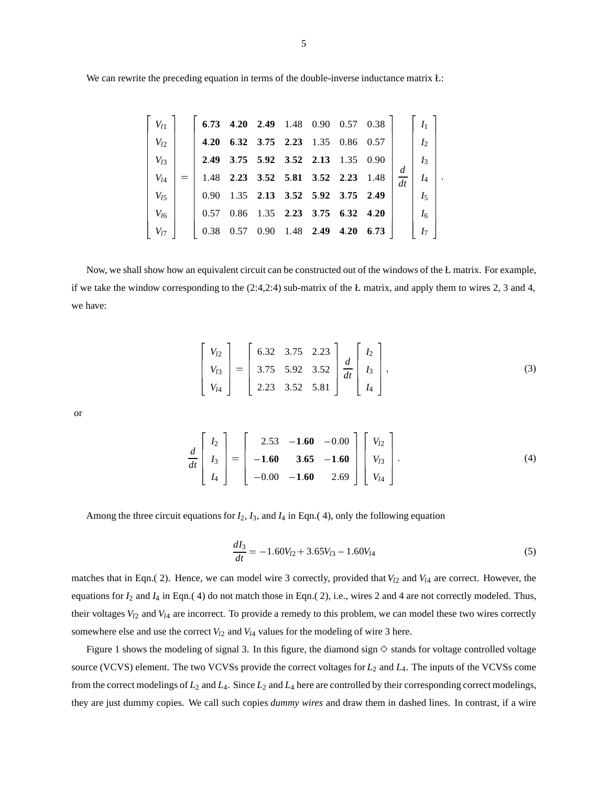| $V_{l1}$ |                   |           |  | 6 73 4 20 2 49 1 48 0 90 0 57 0 38 |      |       |         | I <sub>1</sub> |  |
|----------|-------------------|-----------|--|------------------------------------|------|-------|---------|----------------|--|
| $V_{l2}$ | 4.20              |           |  | 6 32 3 75 2 23 1 35 0 86           |      | 0.57  |         | I <sub>2</sub> |  |
| $V_{l3}$ |                   |           |  | 2.49 3.75 5.92 3.52 2.13 1.35 0.90 |      |       |         | I <sub>3</sub> |  |
| $V_{l4}$ |                   |           |  | 1.48 2.23 3.52 5.81 3.52 2.23      |      | -1.48 | d<br>dt | $I_4$          |  |
| $V_{l5}$ | 0.90 <sub>1</sub> |           |  | 1 35 2 13 3 52 5 92 3 75 2 49      |      |       |         | $I_5$          |  |
| $V_{l6}$ | 0.57              | 0.86      |  | 1 35 2 23 3 75 6 32 4 20           |      |       |         | $I_6$          |  |
| $V_{l7}$ | 0.38              | 0.57 0.90 |  | 148 249                            | 4.20 | 6.73  |         | I7             |  |

Now, we shall show how an equivalent circuit can be constructed out of the windows of the Ł matrix. For example, if we take the window corresponding to the  $(2:4,2:4)$  sub-matrix of the Ł matrix, and apply them to wires 2, 3 and 4, we have:

$$
\begin{bmatrix}\nV_{12} \\
V_{13} \\
V_{14}\n\end{bmatrix} = \begin{bmatrix}\n6.32 & 3.75 & 2.23 \\
3.75 & 5.92 & 3.52 \\
2.23 & 3.52 & 5.81\n\end{bmatrix} \frac{d}{dt} \begin{bmatrix}\nI_2 \\
I_3 \\
I_4\n\end{bmatrix},
$$
\n(3)

or

$$
\frac{d}{dt}\begin{bmatrix}I_2\\I_3\\I_4\end{bmatrix}=\begin{bmatrix}2.53 & -1.60 & -0.00\\-1.60 & 3.65 & -1.60\\-0.00 & -1.60 & 2.69\end{bmatrix}\begin{bmatrix}V_{12}\\V_{13}\\V_{14}\end{bmatrix}.
$$
\n(4)

Among the three circuit equations for  $I_2$ ,  $I_3$ , and  $I_4$  in Eqn.(4), only the following equation

$$
\frac{dI_3}{dt} = -1.60V_{l2} + 3.65V_{l3} - 1.60V_{l4}
$$
\n(5)

matches that in Eqn.( 2). Hence, we can model wire 3 correctly, provided that  $V_{12}$  and  $V_{14}$  are correct. However, the equations for  $I_2$  and  $I_4$  in Eqn.(4) do not match those in Eqn.(2), i.e., wires 2 and 4 are not correctly modeled. Thus, their voltages *Vl*<sup>2</sup> and *Vl*<sup>4</sup> are incorrect. To provide a remedy to this problem, we can model these two wires correctly somewhere else and use the correct  $V_{12}$  and  $V_{14}$  values for the modeling of wire 3 here.

Figure 1 shows the modeling of signal 3. In this figure, the diamond sign  $\diamond$  stands for voltage controlled voltage source (VCVS) element. The two VCVSs provide the correct voltages for *L*<sup>2</sup> and *L*4. The inputs of the VCVSs come from the correct modelings of  $L_2$  and  $L_4$ . Since  $L_2$  and  $L_4$  here are controlled by their corresponding correct modelings, they are just dummy copies. We call such copies *dummy wires* and draw them in dashed lines. In contrast, if a wire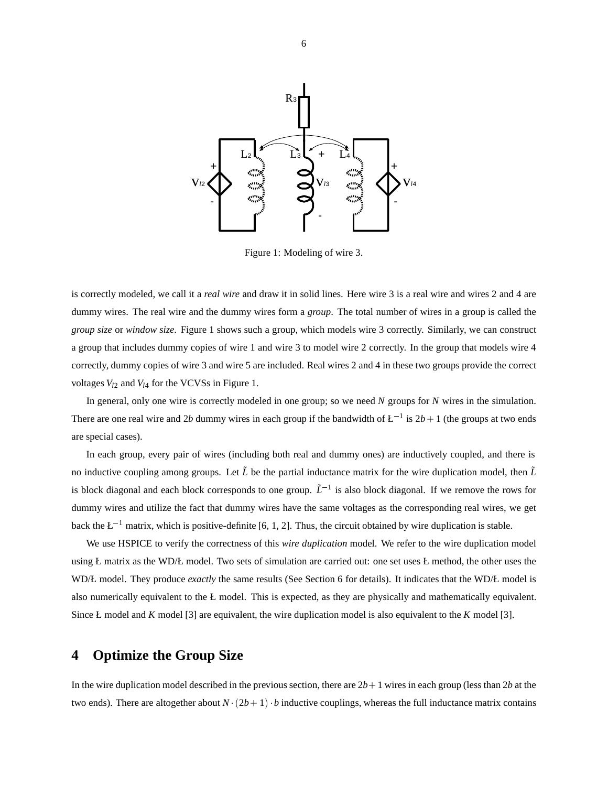

Figure 1: Modeling of wire 3.

is correctly modeled, we call it a *real wire* and draw it in solid lines. Here wire 3 is a real wire and wires 2 and 4 are dummy wires. The real wire and the dummy wires form a *group*. The total number of wires in a group is called the *group size* or *window size*. Figure 1 shows such a group, which models wire 3 correctly. Similarly, we can construct a group that includes dummy copies of wire 1 and wire 3 to model wire 2 correctly. In the group that models wire 4 correctly, dummy copies of wire 3 and wire 5 are included. Real wires 2 and 4 in these two groups provide the correct voltages  $V_{12}$  and  $V_{14}$  for the VCVSs in Figure 1.

In general, only one wire is correctly modeled in one group; so we need *N* groups for *N* wires in the simulation. There are one real wire and 2*b* dummy wires in each group if the bandwidth of  $L^{-1}$  is  $2b + 1$  (the groups at two ends are special cases).

In each group, every pair of wires (including both real and dummy ones) are inductively coupled, and there is no inductive coupling among groups. Let  $\tilde{L}$  be the partial inductance matrix for the wire duplication model, then  $\tilde{L}$ is block diagonal and each block corresponds to one group.  $\tilde{L}^{-1}$  is also block diagonal. If we remove the rows for dummy wires and utilize the fact that dummy wires have the same voltages as the corresponding real wires, we get back the  $L^{-1}$  matrix, which is positive-definite [6, 1, 2]. Thus, the circuit obtained by wire duplication is stable.

We use HSPICE to verify the correctness of this *wire duplication* model. We refer to the wire duplication model using Ł matrix as the WD/Ł model. Two sets of simulation are carried out: one set uses Ł method, the other uses the WD/Ł model. They produce *exactly* the same results (See Section 6 for details). It indicates that the WD/Ł model is also numerically equivalent to the Ł model. This is expected, as they are physically and mathematically equivalent. Since Ł model and *K* model [3] are equivalent, the wire duplication model is also equivalent to the *K* model [3].

#### **4 Optimize the Group Size**

In the wire duplication model described in the previous section, there are  $2b+1$  wires in each group (less than  $2b$  at the two ends). There are altogether about  $N \cdot (2b+1) \cdot b$  inductive couplings, whereas the full inductance matrix contains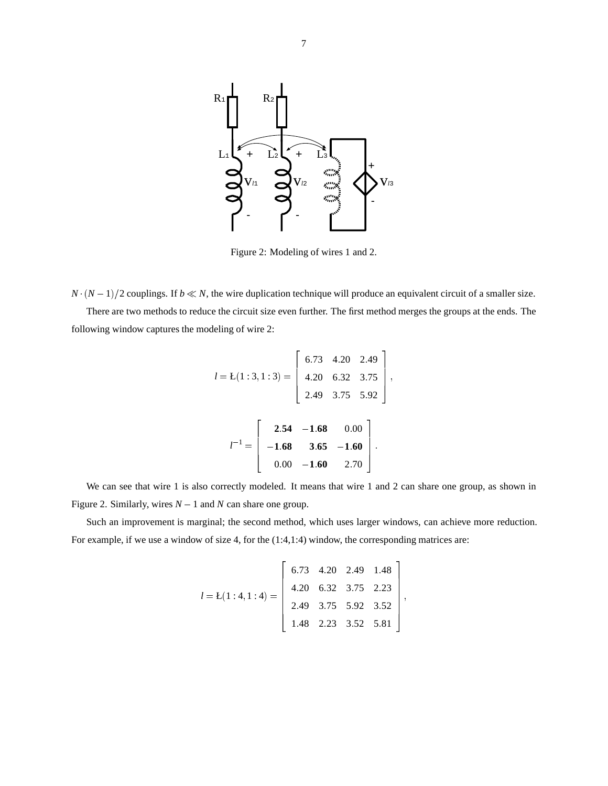

Figure 2: Modeling of wires 1 and 2.

*N*  $(N-1)/2$  couplings. If  $b \ll N$ , the wire duplication technique will produce an equivalent circuit of a smaller size. There are two methods to reduce the circuit size even further. The first method merges the groups at the ends. The following window captures the modeling of wire 2:

$$
l = L(1:3,1:3) = \begin{bmatrix} 6.73 & 4.20 & 2.49 \\ 4.20 & 6.32 & 3.75 \\ 2.49 & 3.75 & 5.92 \end{bmatrix},
$$

$$
l^{-1} = \begin{bmatrix} 2.54 & -1.68 & 0.00 \\ -1.68 & 3.65 & -1.60 \\ 0.00 & -1.60 & 2.70 \end{bmatrix}.
$$

We can see that wire 1 is also correctly modeled. It means that wire 1 and 2 can share one group, as shown in Figure 2. Similarly, wires  $N - 1$  and  $N$  can share one group.

Such an improvement is marginal; the second method, which uses larger windows, can achieve more reduction. For example, if we use a window of size 4, for the (1:4,1:4) window, the corresponding matrices are:

$$
l = \mathbf{L}(1:4,1:4) = \begin{bmatrix} 6.73 & 4.20 & 2.49 & 1.48 \\ 4.20 & 6.32 & 3.75 & 2.23 \\ 2.49 & 3.75 & 5.92 & 3.52 \\ 1.48 & 2.23 & 3.52 & 5.81 \end{bmatrix},
$$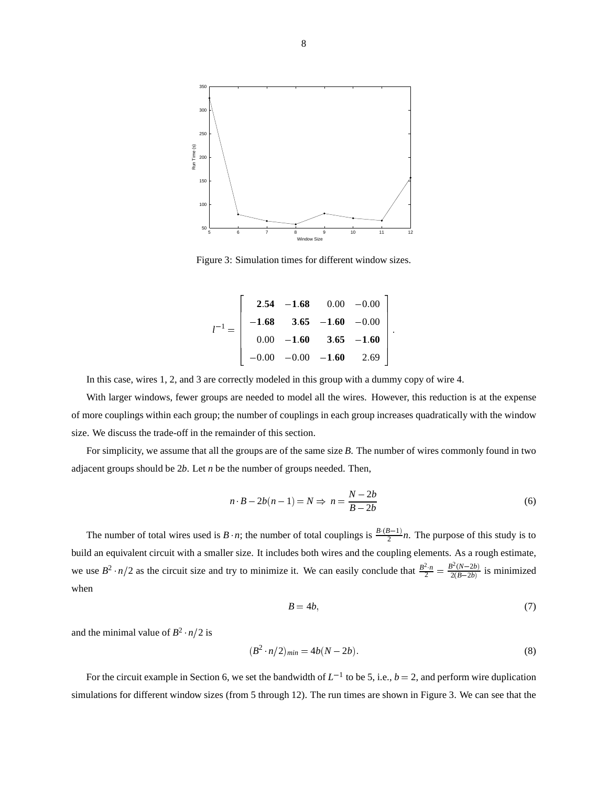

Figure 3: Simulation times for different window sizes.

$$
l^{-1} = \begin{bmatrix} 2.54 & -1.68 & 0.00 & -0.00 \\ -1.68 & 3.65 & -1.60 & -0.00 \\ 0.00 & -1.60 & 3.65 & -1.60 \\ -0.00 & -0.00 & -1.60 & 2.69 \end{bmatrix}.
$$

In this case, wires 1, 2, and 3 are correctly modeled in this group with a dummy copy of wire 4.

**2005 2006 2006 2006 2006** 

With larger windows, fewer groups are needed to model all the wires. However, this reduction is at the expense of more couplings within each group; the number of couplings in each group increases quadratically with the window size. We discuss the trade-off in the remainder of this section.

For simplicity, we assume that all the groups are of the same size *B*. The number of wires commonly found in two adjacent groups should be 2*b*. Let *n* be the number of groups needed. Then,

$$
n \cdot B - 2b(n-1) = N \Rightarrow n = \frac{N - 2b}{B - 2b} \tag{6}
$$

The number of total wires used is  $B \cdot n$ ; the number of total couplings is  $\frac{B\cdot (B-1)}{2}n$ . The purpose of this study is to build an equivalent circuit with a smaller size. It includes both wires and the coupling elements. As a rough estimate, we use  $B^2 \cdot n/2$  as the circuit size and try to minimize it. We can easily conclude that  $\frac{B^2 \cdot n}{2} = \frac{B^2(N-2b)}{2(B-2b)}$  is minimized when

$$
B = 4b,\tag{7}
$$

<sup>3</sup>

and the minimal value of  $B^2 \cdot n/2$  is

$$
(B2 \cdot n/2)_{min} = 4b(N - 2b). \tag{8}
$$

For the circuit example in Section 6, we set the bandwidth of  $L^{-1}$  to be 5, i.e.,  $b = 2$ , and perform wire duplication simulations for different window sizes (from 5 through 12). The run times are shown in Figure 3. We can see that the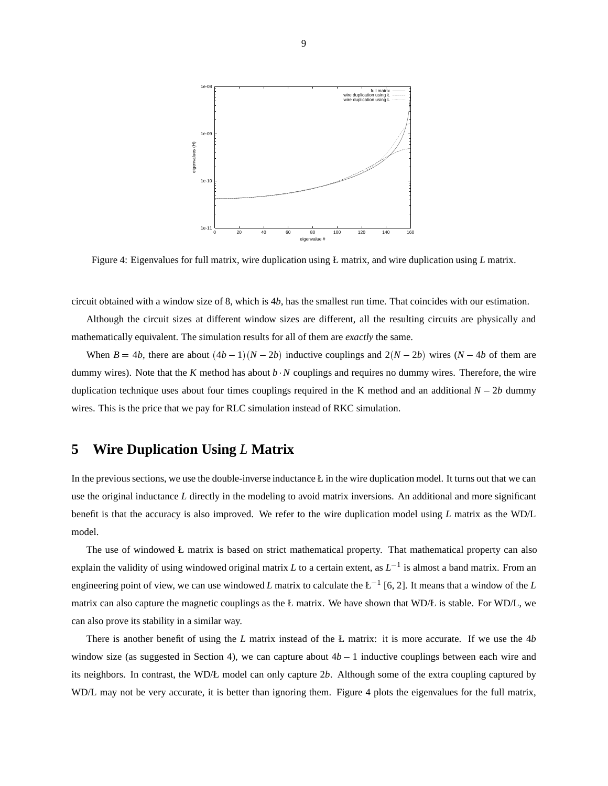

Figure 4: Eigenvalues for full matrix, wire duplication using Ł matrix, and wire duplication using *L* matrix.

circuit obtained with a window size of 8, which is 4*b*, has the smallest run time. That coincides with our estimation.

Although the circuit sizes at different window sizes are different, all the resulting circuits are physically and mathematically equivalent. The simulation results for all of them are *exactly* the same.

When  $B = 4b$ , there are about  $(4b - 1)(N - 2b)$  inductive couplings and  $2(N - 2b)$  wires  $(N - 4b)$  of them are dummy wires). Note that the *K* method has about *b*  $\cdot$ *N* couplings and requires no dummy wires. Therefore, the wire duplication technique uses about four times couplings required in the K method and an additional  $N - 2b$  dummy wires. This is the price that we pay for RLC simulation instead of RKC simulation.

#### **5 Wire Duplication Using** *L* **Matrix**

In the previous sections, we use the double-inverse inductance L in the wire duplication model. It turns out that we can use the original inductance *L* directly in the modeling to avoid matrix inversions. An additional and more significant benefit is that the accuracy is also improved. We refer to the wire duplication model using *L* matrix as the WD/L model.

The use of windowed Ł matrix is based on strict mathematical property. That mathematical property can also explain the validity of using windowed original matrix *L* to a certain extent, as  $L^{-1}$  is almost a band matrix. From an engineering point of view, we can use windowed *L* matrix to calculate the  $L^{-1}$  [6, 2]. It means that a window of the *L* matrix can also capture the magnetic couplings as the Ł matrix. We have shown that WD/Ł is stable. For WD/L, we can also prove its stability in a similar way.

There is another benefit of using the *L* matrix instead of the Ł matrix: it is more accurate. If we use the 4*b* window size (as suggested in Section 4), we can capture about  $4b - 1$  inductive couplings between each wire and its neighbors. In contrast, the WD/Ł model can only capture 2*b*. Although some of the extra coupling captured by WD/L may not be very accurate, it is better than ignoring them. Figure 4 plots the eigenvalues for the full matrix,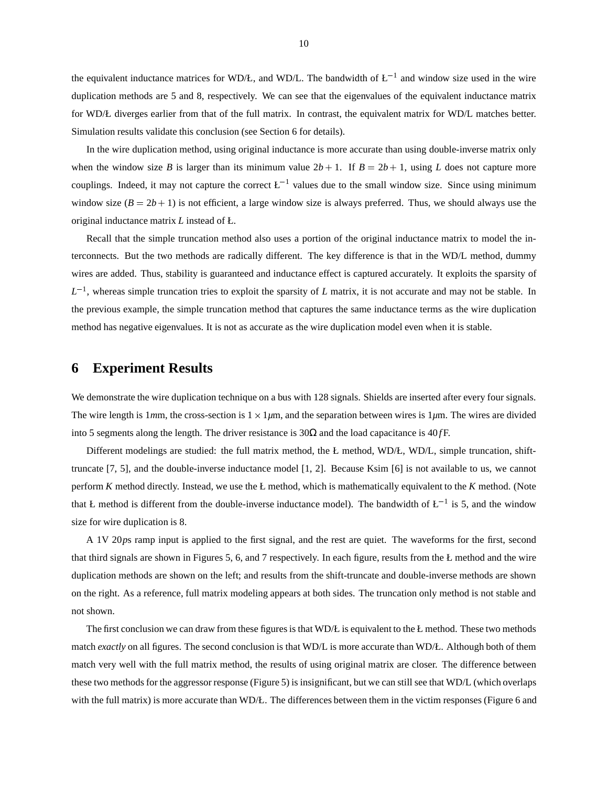the equivalent inductance matrices for WD/Ł, and WD/L. The bandwidth of  $L^{-1}$  and window size used in the wire duplication methods are 5 and 8, respectively. We can see that the eigenvalues of the equivalent inductance matrix for WD/Ł diverges earlier from that of the full matrix. In contrast, the equivalent matrix for WD/L matches better. Simulation results validate this conclusion (see Section 6 for details).

In the wire duplication method, using original inductance is more accurate than using double-inverse matrix only when the window size *B* is larger than its minimum value  $2b + 1$ . If  $B = 2b + 1$ , using *L* does not capture more couplings. Indeed, it may not capture the correct  $L^{-1}$  values due to the small window size. Since using minimum window size  $(B = 2b + 1)$  is not efficient, a large window size is always preferred. Thus, we should always use the original inductance matrix *L* instead of Ł.

Recall that the simple truncation method also uses a portion of the original inductance matrix to model the interconnects. But the two methods are radically different. The key difference is that in the WD/L method, dummy wires are added. Thus, stability is guaranteed and inductance effect is captured accurately. It exploits the sparsity of  $L^{-1}$ , whereas simple truncation tries to exploit the sparsity of *L* matrix, it is not accurate and may not be stable. In the previous example, the simple truncation method that captures the same inductance terms as the wire duplication method has negative eigenvalues. It is not as accurate as the wire duplication model even when it is stable.

#### **6 Experiment Results**

We demonstrate the wire duplication technique on a bus with 128 signals. Shields are inserted after every four signals. The wire length is 1*m*m, the cross-section is  $1 \times 1 \mu m$ , and the separation between wires is 1 $\mu$ m. The wires are divided into 5 segments along the length. The driver resistance is  $30\Omega$  and the load capacitance is  $40$  *fF*.

Different modelings are studied: the full matrix method, the Ł method, WD/Ł, WD/L, simple truncation, shifttruncate [7, 5], and the double-inverse inductance model [1, 2]. Because Ksim [6] is not available to us, we cannot perform *K* method directly. Instead, we use the Ł method, which is mathematically equivalent to the *K* method. (Note that Ł method is different from the double-inverse inductance model). The bandwidth of  $L^{-1}$  is 5, and the window size for wire duplication is 8.

A 1V 20*p*s ramp input is applied to the first signal, and the rest are quiet. The waveforms for the first, second that third signals are shown in Figures 5, 6, and 7 respectively. In each figure, results from the Ł method and the wire duplication methods are shown on the left; and results from the shift-truncate and double-inverse methods are shown on the right. As a reference, full matrix modeling appears at both sides. The truncation only method is not stable and not shown.

The first conclusion we can draw from these figures is that  $WD/E$  is equivalent to the Ł method. These two methods match *exactly* on all figures. The second conclusion is that WD/L is more accurate than WD/Ł. Although both of them match very well with the full matrix method, the results of using original matrix are closer. The difference between these two methods for the aggressor response (Figure 5) is insignificant, but we can still see that WD/L (which overlaps with the full matrix) is more accurate than WD/Ł. The differences between them in the victim responses (Figure 6 and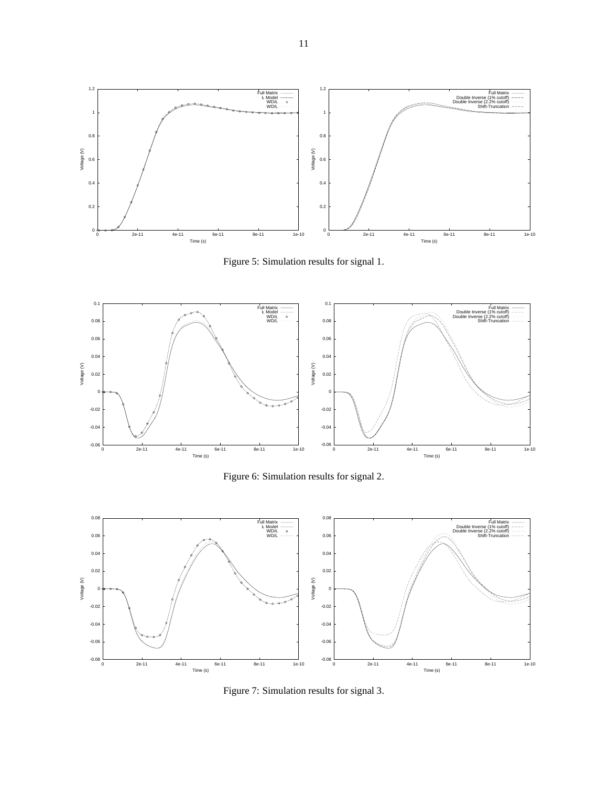

Figure 5: Simulation results for signal 1.



Figure 6: Simulation results for signal 2.



Figure 7: Simulation results for signal 3.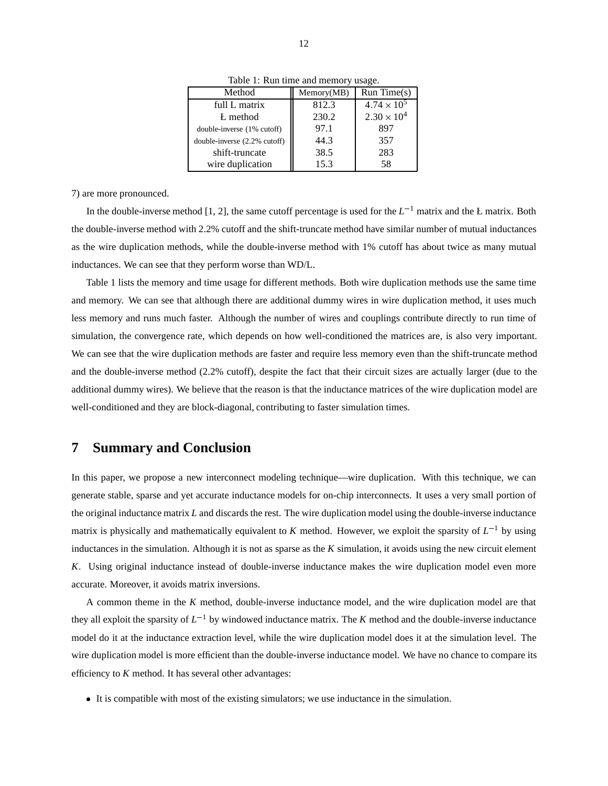| Method                       | Memory(MB) | Run Time(s)          |  |
|------------------------------|------------|----------------------|--|
| full L matrix                | 812.3      | $4.74 \times 10^{5}$ |  |
| L method                     | 230.2      | $2.30 \times 10^{4}$ |  |
| double-inverse (1% cutoff)   | 97.1       | 897                  |  |
| double-inverse (2.2% cutoff) | 44.3       | 357                  |  |
| shift-truncate               | 38.5       | 283                  |  |
| wire duplication             | 15.3       | 58                   |  |
|                              |            |                      |  |

Table 1: Run time and memory usage.

7) are more pronounced.

In the double-inverse method [1, 2], the same cutoff percentage is used for the  $L^{-1}$  matrix and the Ł matrix. Both the double-inverse method with 2.2% cutoff and the shift-truncate method have similar number of mutual inductances as the wire duplication methods, while the double-inverse method with 1% cutoff has about twice as many mutual inductances. We can see that they perform worse than WD/L.

Table 1 lists the memory and time usage for different methods. Both wire duplication methods use the same time and memory. We can see that although there are additional dummy wires in wire duplication method, it uses much less memory and runs much faster. Although the number of wires and couplings contribute directly to run time of simulation, the convergence rate, which depends on how well-conditioned the matrices are, is also very important. We can see that the wire duplication methods are faster and require less memory even than the shift-truncate method and the double-inverse method (2.2% cutoff), despite the fact that their circuit sizes are actually larger (due to the additional dummy wires). We believe that the reason is that the inductance matrices of the wire duplication model are well-conditioned and they are block-diagonal, contributing to faster simulation times.

#### **7 Summary and Conclusion**

In this paper, we propose a new interconnect modeling technique—wire duplication. With this technique, we can generate stable, sparse and yet accurate inductance models for on-chip interconnects. It uses a very small portion of the original inductance matrix *L* and discards the rest. The wire duplication model using the double-inverse inductance matrix is physically and mathematically equivalent to *K* method. However, we exploit the sparsity of  $L^{-1}$  by using inductances in the simulation. Although it is not as sparse as the *K* simulation, it avoids using the new circuit element *K*. Using original inductance instead of double-inverse inductance makes the wire duplication model even more accurate. Moreover, it avoids matrix inversions.

A common theme in the *K* method, double-inverse inductance model, and the wire duplication model are that they all exploit the sparsity of  $L^{-1}$  by windowed inductance matrix. The *K* method and the double-inverse inductance model do it at the inductance extraction level, while the wire duplication model does it at the simulation level. The wire duplication model is more efficient than the double-inverse inductance model. We have no chance to compare its efficiency to *K* method. It has several other advantages:

It is compatible with most of the existing simulators; we use inductance in the simulation.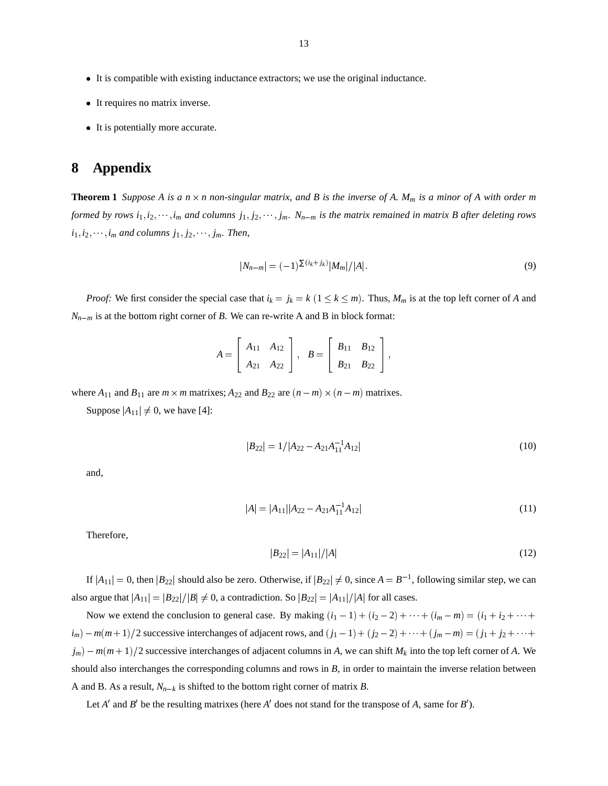- It is compatible with existing inductance extractors; we use the original inductance.
- It requires no matrix inverse.
- It is potentially more accurate.

#### **8 Appendix**

**Theorem 1** Suppose A is a  $n \times n$  non-singular matrix, and B is the inverse of A.  $M_m$  is a minor of A with order m *formed by rows*  $i_1, i_2, \dots, i_m$  and columns  $j_1, j_2, \dots, j_m$ .  $N_{n-m}$  is the matrix remained in matrix B after deleting rows  $i_1, i_2, \cdots, i_m$  *and columns*  $j_1, j_2, \cdots, j_m$ . *Then,* 

$$
|N_{n-m}| = (-1)^{\sum (i_k + j_k)} |M_m| / |A|.
$$
 (9)

*Proof:* We first consider the special case that  $i_k = j_k = k$  ( $1 \leq k \leq m$ ). Thus,  $M_m$  is at the top left corner of *A* and  $N_{n-m}$  is at the bottom right corner of *B*. We can re-write A and B in block format:

$$
A = \left[ \begin{array}{cc} A_{11} & A_{12} \\ A_{21} & A_{22} \end{array} \right], \quad B = \left[ \begin{array}{cc} B_{11} & B_{12} \\ B_{21} & B_{22} \end{array} \right],
$$

where  $A_{11}$  and  $B_{11}$  are  $m \times m$  matrixes;  $A_{22}$  and  $B_{22}$  are  $(n-m) \times (n-m)$  matrixes.

Suppose  $|A_{11}| \neq 0$ , we have [4]:

$$
|B_{22}| = 1/|A_{22} - A_{21}A_{11}^{-1}A_{12}|
$$
\n(10)

and,

$$
|A| = |A_{11}| |A_{22} - A_{21}A_{11}^{-1}A_{12}|
$$
\n(11)

Therefore,

$$
|B_{22}| = |A_{11}|/|A| \tag{12}
$$

If  $|A_{11}| = 0$ , then  $|B_{22}|$  should also be zero. Otherwise, if  $|B_{22}| \neq 0$ , since  $A = B^{-1}$ , following similar step, we can also argue that  $|A_{11}| = |B_{22}|/|B| \neq 0$ , a contradiction. So  $|B_{22}| = |A_{11}|/|A|$  for all cases.

Now we extend the conclusion to general case. By making  $(i_1 - 1) + (i_2 - 2) + \cdots + (i_m - m) = (i_1 + i_2 + \cdots + i_m)$  $i_m$ ) –  $m(m+1)/2$  successive interchanges of adjacent rows, and  $(j_1 - 1) + (j_2 - 2) + \cdots + (j_m - m) = (j_1 + j_2 + \cdots + j_m)$  $j_m$ ) –  $m(m+1)/2$  successive interchanges of adjacent columns in *A*, we can shift  $M_k$  into the top left corner of *A*. We should also interchanges the corresponding columns and rows in *B*, in order to maintain the inverse relation between A and B. As a result,  $N_{n-k}$  is shifted to the bottom right corner of matrix *B*.

Let *A'* and *B'* be the resulting matrixes (here *A'* does not stand for the transpose of *A*, same for *B'*).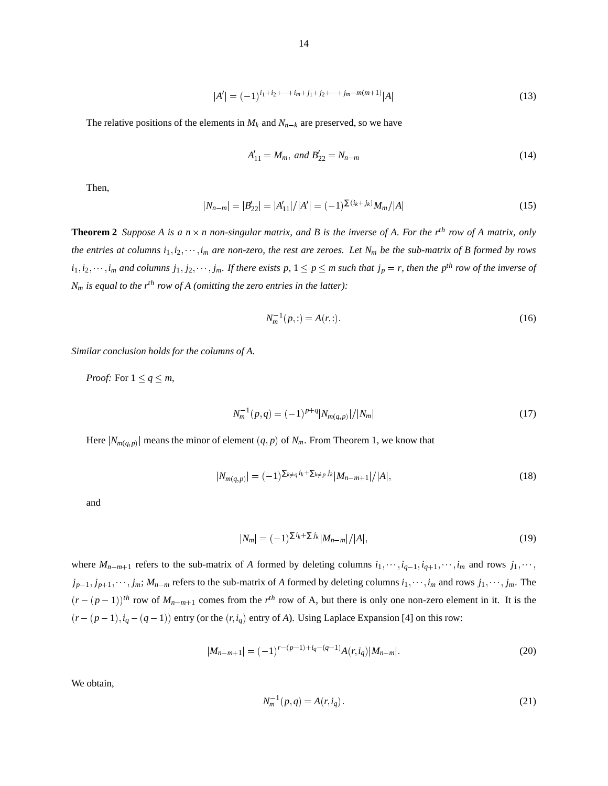$$
|A'| = (-1)^{i_1 + i_2 + \dots + i_m + j_1 + j_2 + \dots + j_m - m(m+1)} |A|
$$
\n(13)

The relative positions of the elements in  $M_k$  and  $N_{n-k}$  are preserved, so we have

$$
A'_{11} = M_m, \text{ and } B'_{22} = N_{n-m} \tag{14}
$$

Then,

$$
|N_{n-m}| = |B'_{22}| = |A'_{11}|/|A'| = (-1)^{\sum (i_k + j_k)} M_m/|A|
$$
\n(15)

**Theorem 2** Suppose A is a  $n \times n$  non-singular matrix, and B is the inverse of A. For the r<sup>th</sup> row of A matrix, only *the entries at columns*  $i_1, i_2, \dots, i_m$  *are non-zero, the rest are zeroes. Let*  $N_m$  *be the sub-matrix of B formed by rows*  $i_1, i_2, \dots, i_m$  and columns  $j_1, j_2, \dots, j_m$ . If there exists p,  $1 \leq p \leq m$  such that  $j_p = r$ , then the p<sup>th</sup> row of the inverse of  $N_m$  *is equal to the r<sup>th</sup> row of A (omitting the zero entries in the latter)*:

$$
N_m^{-1}(p,:) = A(r,:).
$$
 (16)

*Similar conclusion holds for the columns of A.*

*Proof:* For  $1 \leq q \leq m$ ,

$$
N_m^{-1}(p,q) = (-1)^{p+q} |N_{m(q,p)}| / |N_m| \tag{17}
$$

Here  $|N_{m(q,p)}|$  means the minor of element  $(q, p)$  of  $N_m$ . From Theorem 1, we know that

$$
|N_{m(q,p)}| = (-1)^{\sum_{k \neq q} i_k + \sum_{k \neq p} j_k} |M_{n-m+1}| / |A|,
$$
\n(18)

and

$$
|N_m| = (-1)^{\sum i_k + \sum j_k} |M_{n-m}| / |A|,\tag{19}
$$

where  $M_{n-m+1}$  refers to the sub-matrix of *A* formed by deleting columns  $i_1, \dots, i_{q-1}, i_{q+1}, \dots, i_m$  and rows  $j_1, \dots, j_m$  $j_{p-1}, j_{p+1}, \dots, j_m; M_{n-m}$  refers to the sub-matrix of *A* formed by deleting columns  $i_1, \dots, i_m$  and rows  $j_1, \dots, j_m$ . The  $(r-(p-1))$ <sup>th</sup> row of  $M_{n-m+1}$  comes from the  $r^{th}$  row of A, but there is only one non-zero element in it. It is the  $(r - (p - 1), i_q - (q - 1))$  entry (or the  $(r, i_q)$  entry of *A*). Using Laplace Expansion [4] on this row:

$$
|M_{n-m+1}| = (-1)^{r-(p-1)+i_q-(q-1)}A(r,i_q)|M_{n-m}|.
$$
\n(20)

We obtain,

$$
N_m^{-1}(p,q) = A(r, i_q). \tag{21}
$$